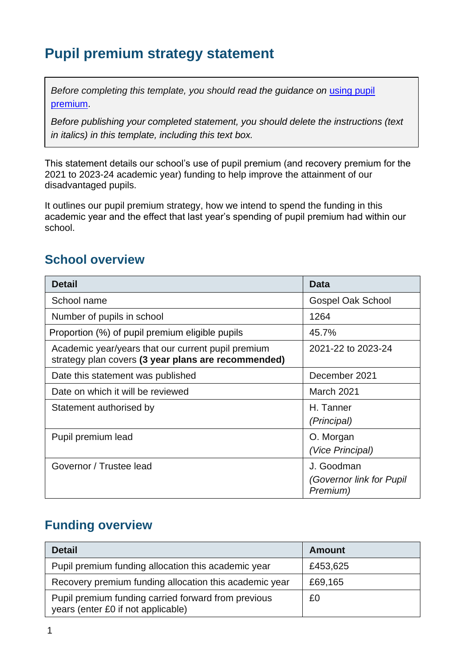## **Pupil premium strategy statement**

*Before completing this template, you should read the guidance on using pupil* [premium.](https://www.gov.uk/guidance/pupil-premium-effective-use-and-accountability#online-statements)

*Before publishing your completed statement, you should delete the instructions (text in italics) in this template, including this text box.*

This statement details our school's use of pupil premium (and recovery premium for the 2021 to 2023-24 academic year) funding to help improve the attainment of our disadvantaged pupils.

It outlines our pupil premium strategy, how we intend to spend the funding in this academic year and the effect that last year's spending of pupil premium had within our school.

### **School overview**

| <b>Detail</b>                                                                                             | <b>Data</b>                                        |
|-----------------------------------------------------------------------------------------------------------|----------------------------------------------------|
| School name                                                                                               | <b>Gospel Oak School</b>                           |
| Number of pupils in school                                                                                | 1264                                               |
| Proportion (%) of pupil premium eligible pupils                                                           | 45.7%                                              |
| Academic year/years that our current pupil premium<br>strategy plan covers (3 year plans are recommended) | 2021-22 to 2023-24                                 |
| Date this statement was published                                                                         | December 2021                                      |
| Date on which it will be reviewed                                                                         | March 2021                                         |
| Statement authorised by                                                                                   | H. Tanner<br>(Principal)                           |
| Pupil premium lead                                                                                        | O. Morgan<br>(Vice Principal)                      |
| Governor / Trustee lead                                                                                   | J. Goodman<br>(Governor link for Pupil<br>Premium) |

#### **Funding overview**

| <b>Detail</b>                                                                             | <b>Amount</b> |
|-------------------------------------------------------------------------------------------|---------------|
| Pupil premium funding allocation this academic year                                       | £453,625      |
| Recovery premium funding allocation this academic year                                    | £69,165       |
| Pupil premium funding carried forward from previous<br>years (enter £0 if not applicable) | £0            |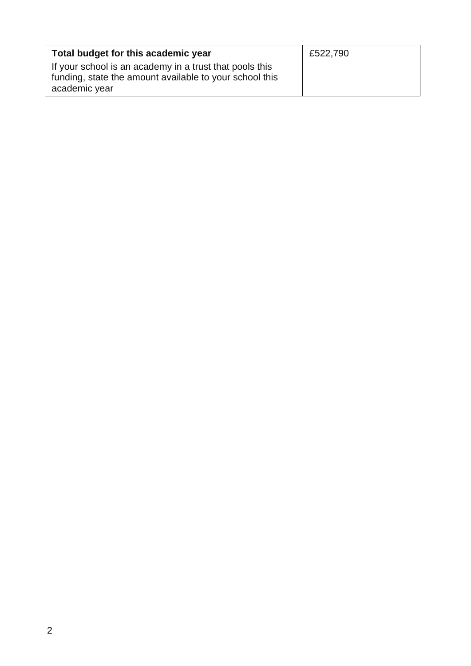| Total budget for this academic year                                                                                                 | £522,790 |
|-------------------------------------------------------------------------------------------------------------------------------------|----------|
| If your school is an academy in a trust that pools this<br>funding, state the amount available to your school this<br>academic year |          |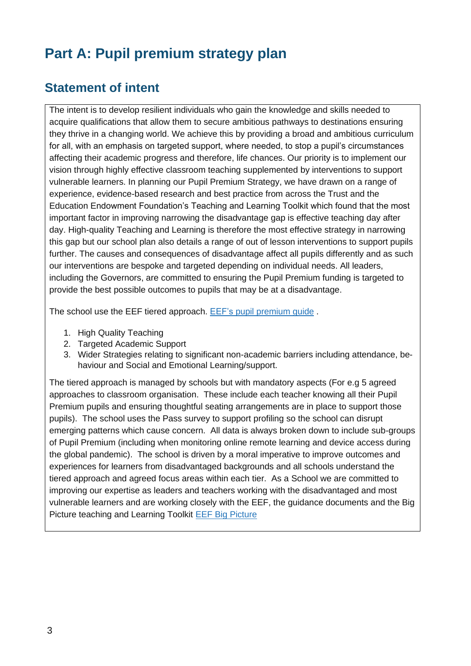## **Part A: Pupil premium strategy plan**

### **Statement of intent**

The intent is to develop resilient individuals who gain the knowledge and skills needed to acquire qualifications that allow them to secure ambitious pathways to destinations ensuring they thrive in a changing world. We achieve this by providing a broad and ambitious curriculum for all, with an emphasis on targeted support, where needed, to stop a pupil's circumstances affecting their academic progress and therefore, life chances. Our priority is to implement our vision through highly effective classroom teaching supplemented by interventions to support vulnerable learners. In planning our Pupil Premium Strategy, we have drawn on a range of experience, evidence-based research and best practice from across the Trust and the Education Endowment Foundation's Teaching and Learning Toolkit which found that the most important factor in improving narrowing the disadvantage gap is effective teaching day after day. High-quality Teaching and Learning is therefore the most effective strategy in narrowing this gap but our school plan also details a range of out of lesson interventions to support pupils further. The causes and consequences of disadvantage affect all pupils differently and as such our interventions are bespoke and targeted depending on individual needs. All leaders, including the Governors, are committed to ensuring the Pupil Premium funding is targeted to provide the best possible outcomes to pupils that may be at a disadvantage.

The school use the EEF tiered approach. EEF's pupil [premium](https://educationendowmentfoundation.org.uk/evidence-summaries/pupil-premium-guide/) guide .

- 1. High Quality Teaching
- 2. Targeted Academic Support
- 3. Wider Strategies relating to significant non-academic barriers including attendance, behaviour and Social and Emotional Learning/support.

The tiered approach is managed by schools but with mandatory aspects (For e.g 5 agreed approaches to classroom organisation. These include each teacher knowing all their Pupil Premium pupils and ensuring thoughtful seating arrangements are in place to support those pupils). The school uses the Pass survey to support profiling so the school can disrupt emerging patterns which cause concern. All data is always broken down to include sub-groups of Pupil Premium (including when monitoring online remote learning and device access during the global pandemic). The school is driven by a moral imperative to improve outcomes and experiences for learners from disadvantaged backgrounds and all schools understand the tiered approach and agreed focus areas within each tier. As a School we are committed to improving our expertise as leaders and teachers working with the disadvantaged and most vulnerable learners and are working closely with the EEF, the guidance documents and the Big Picture teaching and Learning Toolkit EEF Big [Picture](https://educationendowmentfoundation.org.uk/school-themes/)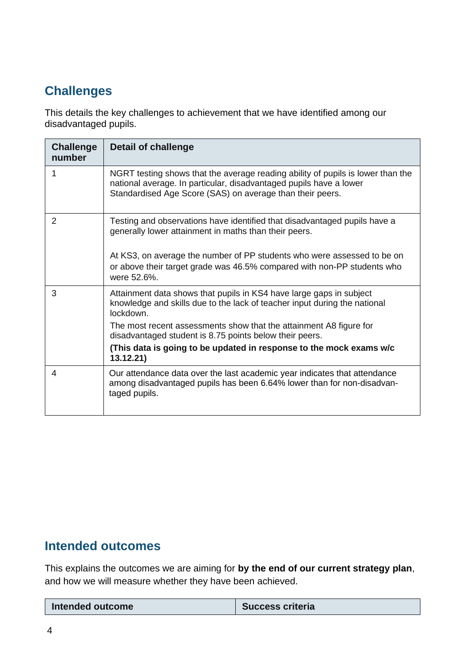### **Challenges**

This details the key challenges to achievement that we have identified among our disadvantaged pupils.

| <b>Challenge</b><br>number | <b>Detail of challenge</b>                                                                                                                                                                                         |
|----------------------------|--------------------------------------------------------------------------------------------------------------------------------------------------------------------------------------------------------------------|
| 1                          | NGRT testing shows that the average reading ability of pupils is lower than the<br>national average. In particular, disadvantaged pupils have a lower<br>Standardised Age Score (SAS) on average than their peers. |
| $\overline{2}$             | Testing and observations have identified that disadvantaged pupils have a<br>generally lower attainment in maths than their peers.                                                                                 |
|                            | At KS3, on average the number of PP students who were assessed to be on<br>or above their target grade was 46.5% compared with non-PP students who<br>were 52.6%.                                                  |
| 3                          | Attainment data shows that pupils in KS4 have large gaps in subject<br>knowledge and skills due to the lack of teacher input during the national<br>lockdown.                                                      |
|                            | The most recent assessments show that the attainment A8 figure for<br>disadvantaged student is 8.75 points below their peers.                                                                                      |
|                            | (This data is going to be updated in response to the mock exams w/c<br>13.12.21)                                                                                                                                   |
| 4                          | Our attendance data over the last academic year indicates that attendance<br>among disadvantaged pupils has been 6.64% lower than for non-disadvan-<br>taged pupils.                                               |

#### **Intended outcomes**

This explains the outcomes we are aiming for **by the end of our current strategy plan**, and how we will measure whether they have been achieved.

| <b>Success criteria</b><br>Intended outcome |
|---------------------------------------------|
|---------------------------------------------|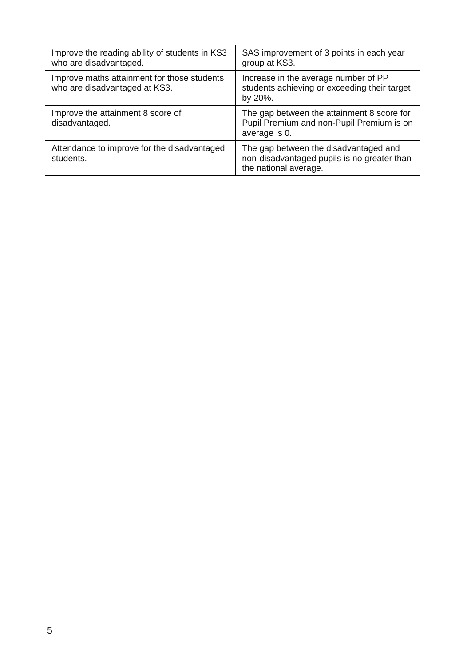| Improve the reading ability of students in KS3<br>who are disadvantaged.     | SAS improvement of 3 points in each year<br>group at KS3.                                                     |
|------------------------------------------------------------------------------|---------------------------------------------------------------------------------------------------------------|
| Improve maths attainment for those students<br>who are disadvantaged at KS3. | Increase in the average number of PP<br>students achieving or exceeding their target<br>by 20%.               |
| Improve the attainment 8 score of<br>disadvantaged.                          | The gap between the attainment 8 score for<br>Pupil Premium and non-Pupil Premium is on<br>average is 0.      |
| Attendance to improve for the disadvantaged<br>students.                     | The gap between the disadvantaged and<br>non-disadvantaged pupils is no greater than<br>the national average. |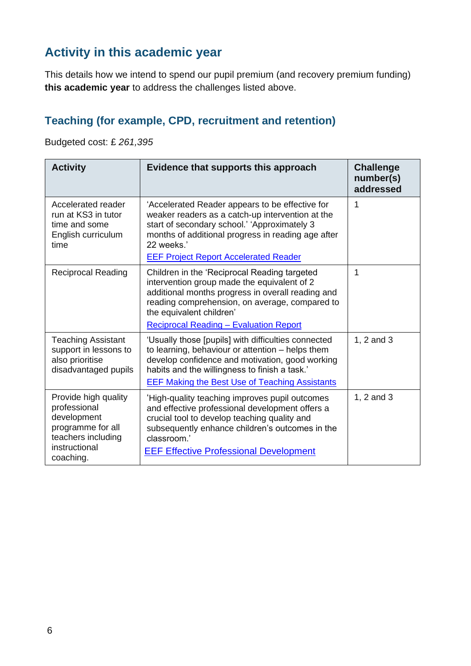### **Activity in this academic year**

This details how we intend to spend our pupil premium (and recovery premium funding) **this academic year** to address the challenges listed above.

#### **Teaching (for example, CPD, recruitment and retention)**

Budgeted cost: £ *261,395*

| <b>Activity</b>                                                                                                              | Evidence that supports this approach                                                                                                                                                                                                                                            | <b>Challenge</b><br>number(s)<br>addressed |
|------------------------------------------------------------------------------------------------------------------------------|---------------------------------------------------------------------------------------------------------------------------------------------------------------------------------------------------------------------------------------------------------------------------------|--------------------------------------------|
| Accelerated reader<br>run at KS3 in tutor<br>time and some<br>English curriculum<br>time                                     | 'Accelerated Reader appears to be effective for<br>weaker readers as a catch-up intervention at the<br>start of secondary school.' 'Approximately 3<br>months of additional progress in reading age after<br>22 weeks.'<br><b>EEF Project Report Accelerated Reader</b>         | 1                                          |
| <b>Reciprocal Reading</b>                                                                                                    | Children in the 'Reciprocal Reading targeted<br>intervention group made the equivalent of 2<br>additional months progress in overall reading and<br>reading comprehension, on average, compared to<br>the equivalent children'<br><b>Reciprocal Reading - Evaluation Report</b> | 1                                          |
| <b>Teaching Assistant</b><br>support in lessons to<br>also prioritise<br>disadvantaged pupils                                | 'Usually those [pupils] with difficulties connected<br>to learning, behaviour or attention – helps them<br>develop confidence and motivation, good working<br>habits and the willingness to finish a task.'<br><b>EEF Making the Best Use of Teaching Assistants</b>            | 1, 2 and 3                                 |
| Provide high quality<br>professional<br>development<br>programme for all<br>teachers including<br>instructional<br>coaching. | 'High-quality teaching improves pupil outcomes<br>and effective professional development offers a<br>crucial tool to develop teaching quality and<br>subsequently enhance children's outcomes in the<br>classroom.'<br><b>EEF Effective Professional Development</b>            | 1, 2 and 3                                 |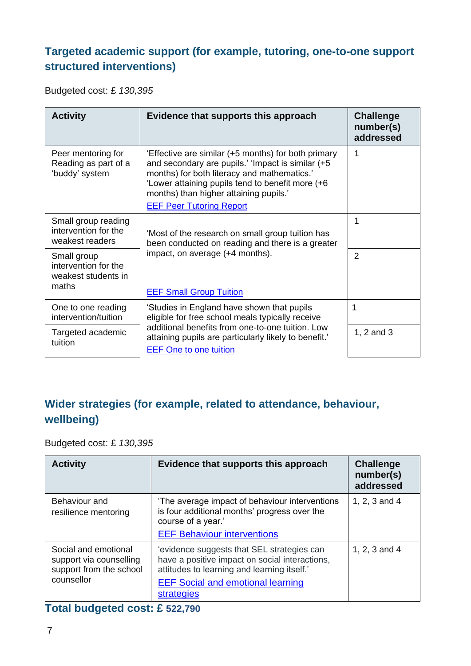#### **Targeted academic support (for example, tutoring, one-to-one support structured interventions)**

Budgeted cost: £ *130,395*

| <b>Activity</b>                                                     | Evidence that supports this approach                                                                                                                                                                                                                                                     | <b>Challenge</b><br>number(s)<br>addressed |
|---------------------------------------------------------------------|------------------------------------------------------------------------------------------------------------------------------------------------------------------------------------------------------------------------------------------------------------------------------------------|--------------------------------------------|
| Peer mentoring for<br>Reading as part of a<br>'buddy' system        | 'Effective are similar (+5 months) for both primary<br>and secondary are pupils.' 'Impact is similar (+5<br>months) for both literacy and mathematics.'<br>'Lower attaining pupils tend to benefit more (+6<br>months) than higher attaining pupils.'<br><b>EEF Peer Tutoring Report</b> | 1                                          |
| Small group reading<br>intervention for the<br>weakest readers      | 'Most of the research on small group tuition has<br>been conducted on reading and there is a greater                                                                                                                                                                                     | 1                                          |
| Small group<br>intervention for the<br>weakest students in<br>maths | impact, on average (+4 months).<br><b>EEF Small Group Tuition</b>                                                                                                                                                                                                                        | $\overline{2}$                             |
| One to one reading<br>intervention/tuition                          | 'Studies in England have shown that pupils<br>eligible for free school meals typically receive                                                                                                                                                                                           | 1                                          |
| Targeted academic<br>tuition                                        | additional benefits from one-to-one tuition. Low<br>attaining pupils are particularly likely to benefit.'<br><b>EEF One to one tuition</b>                                                                                                                                               | 1, 2 and 3                                 |

#### **Wider strategies (for example, related to attendance, behaviour, wellbeing)**

Budgeted cost: £ *130,395*

| <b>Activity</b>                                                                          | Evidence that supports this approach                                                                                                                                                                         | <b>Challenge</b><br>number(s)<br>addressed |
|------------------------------------------------------------------------------------------|--------------------------------------------------------------------------------------------------------------------------------------------------------------------------------------------------------------|--------------------------------------------|
| Behaviour and<br>resilience mentoring                                                    | The average impact of behaviour interventions<br>is four additional months' progress over the<br>course of a year.'<br><b>EEF Behaviour interventions</b>                                                    | 1, 2, 3 and 4                              |
| Social and emotional<br>support via counselling<br>support from the school<br>counsellor | 'evidence suggests that SEL strategies can<br>have a positive impact on social interactions,<br>attitudes to learning and learning itself.'<br><b>EEF Social and emotional learning</b><br><b>strategies</b> | 1, 2, 3 and 4                              |

#### **Total budgeted cost: £ 522,790**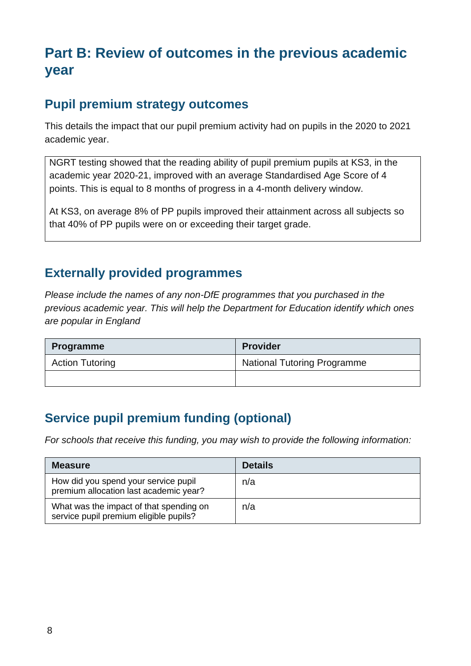## **Part B: Review of outcomes in the previous academic year**

#### **Pupil premium strategy outcomes**

This details the impact that our pupil premium activity had on pupils in the 2020 to 2021 academic year.

NGRT testing showed that the reading ability of pupil premium pupils at KS3, in the academic year 2020-21, improved with an average Standardised Age Score of 4 points. This is equal to 8 months of progress in a 4-month delivery window.

At KS3, on average 8% of PP pupils improved their attainment across all subjects so that 40% of PP pupils were on or exceeding their target grade.

#### **Externally provided programmes**

*Please include the names of any non-DfE programmes that you purchased in the previous academic year. This will help the Department for Education identify which ones are popular in England*

| <b>Programme</b>       | <b>Provider</b>                    |
|------------------------|------------------------------------|
| <b>Action Tutoring</b> | <b>National Tutoring Programme</b> |
|                        |                                    |

### **Service pupil premium funding (optional)**

*For schools that receive this funding, you may wish to provide the following information:* 

| <b>Measure</b>                                                                    | <b>Details</b> |
|-----------------------------------------------------------------------------------|----------------|
| How did you spend your service pupil<br>premium allocation last academic year?    | n/a            |
| What was the impact of that spending on<br>service pupil premium eligible pupils? | n/a            |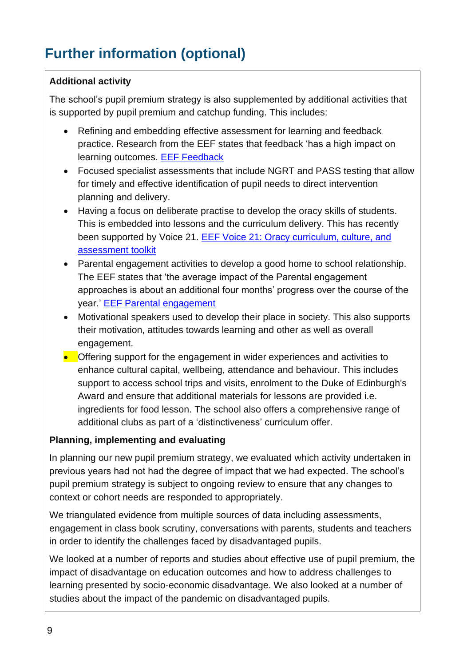# **Further information (optional)**

#### **Additional activity**

The school's pupil premium strategy is also supplemented by additional activities that is supported by pupil premium and catchup funding. This includes:

- Refining and embedding effective assessment for learning and feedback practice. Research from the EEF states that feedback 'has a high impact on learning outcomes. [EEF Feedback](https://educationendowmentfoundation.org.uk/education-evidence/teaching-learning-toolkit/feedback)
- Focused specialist assessments that include NGRT and PASS testing that allow for timely and effective identification of pupil needs to direct intervention planning and delivery.
- Having a focus on deliberate practise to develop the oracy skills of students. This is embedded into lessons and the curriculum delivery. This has recently been supported by Voice 21. EEF [Voice 21: Oracy curriculum, culture, and](https://educationendowmentfoundation.org.uk/projects-and-evaluation/projects/voice-21-pilot?utm_source=/projects-and-evaluation/projects/voice-21-pilot&utm_medium=search&utm_campaign=site_search&search_term=assessments)  [assessment toolkit](https://educationendowmentfoundation.org.uk/projects-and-evaluation/projects/voice-21-pilot?utm_source=/projects-and-evaluation/projects/voice-21-pilot&utm_medium=search&utm_campaign=site_search&search_term=assessments)
- Parental engagement activities to develop a good home to school relationship. The EEF states that 'the average impact of the Parental engagement approaches is about an additional four months' progress over the course of the year.' [EEF Parental engagement](https://educationendowmentfoundation.org.uk/education-evidence/teaching-learning-toolkit/parental-engagement)
- Motivational speakers used to develop their place in society. This also supports their motivation, attitudes towards learning and other as well as overall engagement.
- Offering support for the engagement in wider experiences and activities to enhance cultural capital, wellbeing, attendance and behaviour. This includes support to access school trips and visits, enrolment to the Duke of Edinburgh's Award and ensure that additional materials for lessons are provided i.e. ingredients for food lesson. The school also offers a comprehensive range of additional clubs as part of a 'distinctiveness' curriculum offer.

#### **Planning, implementing and evaluating**

In planning our new pupil premium strategy, we evaluated which activity undertaken in previous years had not had the degree of impact that we had expected. The school's pupil premium strategy is subject to ongoing review to ensure that any changes to context or cohort needs are responded to appropriately.

We triangulated evidence from multiple sources of data including assessments, engagement in class book scrutiny, conversations with parents, students and teachers in order to identify the challenges faced by disadvantaged pupils.

We looked at a number of reports and studies about effective use of pupil premium, the impact of disadvantage on education outcomes and how to address challenges to learning presented by socio-economic disadvantage. We also looked at a number of studies about the impact of the pandemic on disadvantaged pupils.